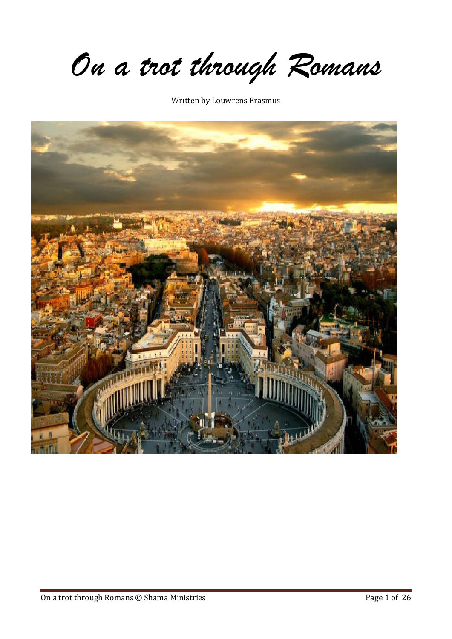*On a trot through Romans*

Written by Louwrens Erasmus

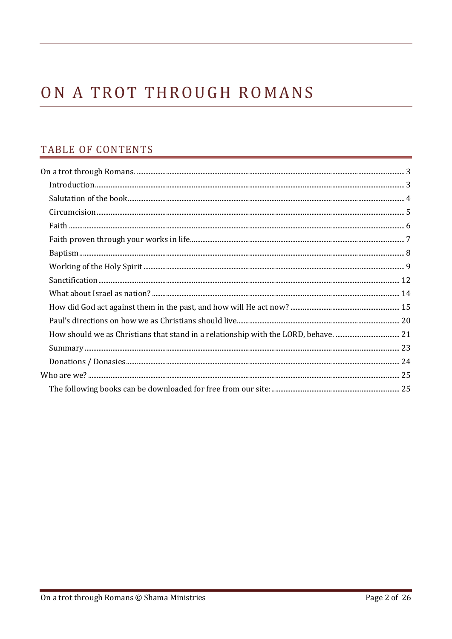# ON A TROT THROUGH ROMANS

# TABLE OF CONTENTS

| $\label{thm:main} \text{Donations}\; /\; \text{Donasies} \; \text{} \; \text{} \; \text{} \; \text{} \; \text{} \; \text{} \; \text{} \; \text{} \; \text{} \; \; 24$ |  |
|-----------------------------------------------------------------------------------------------------------------------------------------------------------------------|--|
|                                                                                                                                                                       |  |
|                                                                                                                                                                       |  |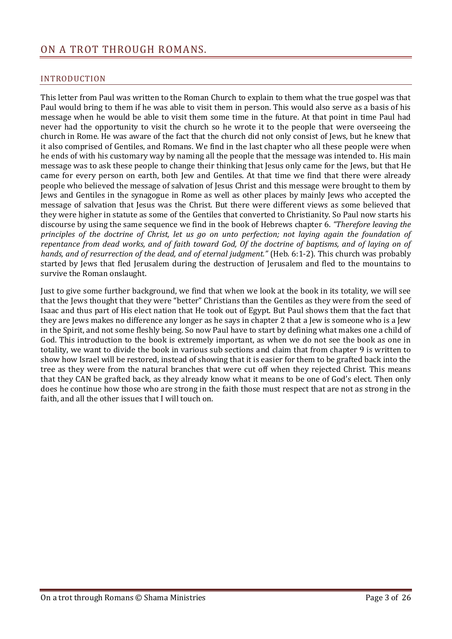# <span id="page-2-0"></span>ON A TROT THROUGH ROMANS.

## <span id="page-2-1"></span>INTRODUCTION

This letter from Paul was written to the Roman Church to explain to them what the true gospel was that Paul would bring to them if he was able to visit them in person. This would also serve as a basis of his message when he would be able to visit them some time in the future. At that point in time Paul had never had the opportunity to visit the church so he wrote it to the people that were overseeing the church in Rome. He was aware of the fact that the church did not only consist of Jews, but he knew that it also comprised of Gentiles, and Romans. We find in the last chapter who all these people were when he ends of with his customary way by naming all the people that the message was intended to. His main message was to ask these people to change their thinking that Jesus only came for the Jews, but that He came for every person on earth, both Jew and Gentiles. At that time we find that there were already people who believed the message of salvation of Jesus Christ and this message were brought to them by Jews and Gentiles in the synagogue in Rome as well as other places by mainly Jews who accepted the message of salvation that Jesus was the Christ. But there were different views as some believed that they were higher in statute as some of the Gentiles that converted to Christianity. So Paul now starts his discourse by using the same sequence we find in the book of Hebrews chapter 6. *"Therefore leaving the principles of the doctrine of Christ, let us go on unto perfection; not laying again the foundation of repentance from dead works, and of faith toward God, Of the doctrine of baptisms, and of laying on of hands, and of resurrection of the dead, and of eternal judgment."* (Heb. 6:1-2). This church was probably started by Jews that fled Jerusalem during the destruction of Jerusalem and fled to the mountains to survive the Roman onslaught.

Just to give some further background, we find that when we look at the book in its totality, we will see that the Jews thought that they were "better" Christians than the Gentiles as they were from the seed of Isaac and thus part of His elect nation that He took out of Egypt. But Paul shows them that the fact that they are Jews makes no difference any longer as he says in chapter 2 that a Jew is someone who is a Jew in the Spirit, and not some fleshly being. So now Paul have to start by defining what makes one a child of God. This introduction to the book is extremely important, as when we do not see the book as one in totality, we want to divide the book in various sub sections and claim that from chapter 9 is written to show how Israel will be restored, instead of showing that it is easier for them to be grafted back into the tree as they were from the natural branches that were cut off when they rejected Christ. This means that they CAN be grafted back, as they already know what it means to be one of God's elect. Then only does he continue how those who are strong in the faith those must respect that are not as strong in the faith, and all the other issues that I will touch on.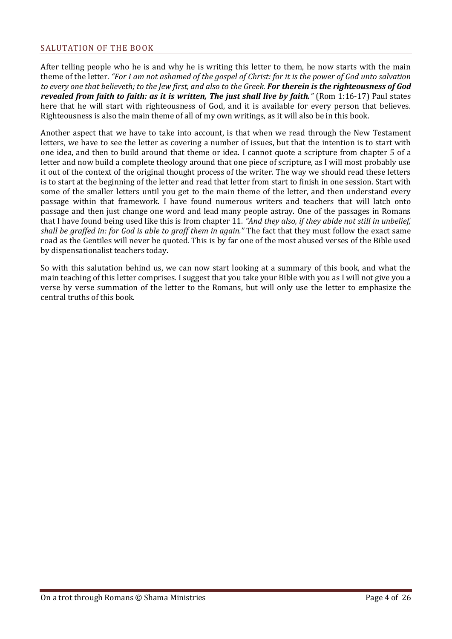#### <span id="page-3-0"></span>SALUTATION OF THE BOOK

After telling people who he is and why he is writing this letter to them, he now starts with the main theme of the letter. *"For I am not ashamed of the gospel of Christ: for it is the power of God unto salvation to every one that believeth; to the Jew first, and also to the Greek. For therein is the righteousness of God revealed from faith to faith: as it is written, The just shall live by faith."* (Rom 1:16-17) Paul states here that he will start with righteousness of God, and it is available for every person that believes. Righteousness is also the main theme of all of my own writings, as it will also be in this book.

Another aspect that we have to take into account, is that when we read through the New Testament letters, we have to see the letter as covering a number of issues, but that the intention is to start with one idea, and then to build around that theme or idea. I cannot quote a scripture from chapter 5 of a letter and now build a complete theology around that one piece of scripture, as I will most probably use it out of the context of the original thought process of the writer. The way we should read these letters is to start at the beginning of the letter and read that letter from start to finish in one session. Start with some of the smaller letters until you get to the main theme of the letter, and then understand every passage within that framework. I have found numerous writers and teachers that will latch onto passage and then just change one word and lead many people astray. One of the passages in Romans that I have found being used like this is from chapter 11. *"And they also, if they abide not still in unbelief, shall be graffed in: for God is able to graff them in again."* The fact that they must follow the exact same road as the Gentiles will never be quoted. This is by far one of the most abused verses of the Bible used by dispensationalist teachers today.

So with this salutation behind us, we can now start looking at a summary of this book, and what the main teaching of this letter comprises. I suggest that you take your Bible with you as I will not give you a verse by verse summation of the letter to the Romans, but will only use the letter to emphasize the central truths of this book.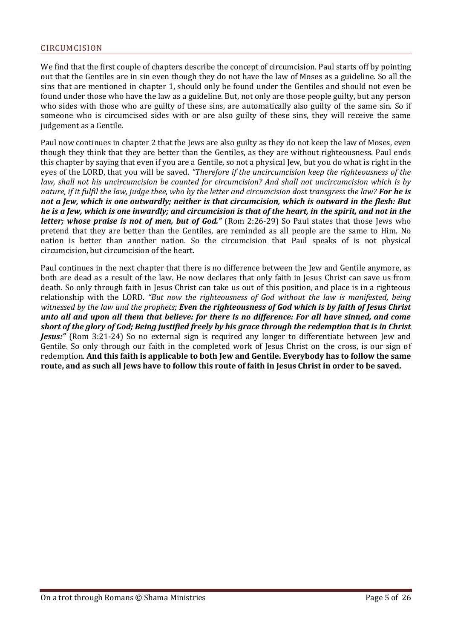#### <span id="page-4-0"></span>CIRCUMCISION

We find that the first couple of chapters describe the concept of circumcision. Paul starts off by pointing out that the Gentiles are in sin even though they do not have the law of Moses as a guideline. So all the sins that are mentioned in chapter 1, should only be found under the Gentiles and should not even be found under those who have the law as a guideline. But, not only are those people guilty, but any person who sides with those who are guilty of these sins, are automatically also guilty of the same sin. So if someone who is circumcised sides with or are also guilty of these sins, they will receive the same judgement as a Gentile.

Paul now continues in chapter 2 that the Jews are also guilty as they do not keep the law of Moses, even though they think that they are better than the Gentiles, as they are without righteousness. Paul ends this chapter by saying that even if you are a Gentile, so not a physical Jew, but you do what is right in the eyes of the LORD, that you will be saved. *"Therefore if the uncircumcision keep the righteousness of the law, shall not his uncircumcision be counted for circumcision? And shall not uncircumcision which is by nature, if it fulfil the law, judge thee, who by the letter and circumcision dost transgress the law? For he is not a Jew, which is one outwardly; neither is that circumcision, which is outward in the flesh: But he is a Jew, which is one inwardly; and circumcision is that of the heart, in the spirit, and not in the letter; whose praise is not of men, but of God."* (Rom 2:26-29) So Paul states that those Jews who pretend that they are better than the Gentiles, are reminded as all people are the same to Him. No nation is better than another nation. So the circumcision that Paul speaks of is not physical circumcision, but circumcision of the heart.

Paul continues in the next chapter that there is no difference between the Jew and Gentile anymore, as both are dead as a result of the law. He now declares that only faith in Jesus Christ can save us from death. So only through faith in Jesus Christ can take us out of this position, and place is in a righteous relationship with the LORD. *"But now the righteousness of God without the law is manifested, being witnessed by the law and the prophets; Even the righteousness of God which is by faith of Jesus Christ unto all and upon all them that believe: for there is no difference: For all have sinned, and come short of the glory of God; Being justified freely by his grace through the redemption that is in Christ Jesus:* (Rom 3:21-24) So no external sign is required any longer to differentiate between Jew and Gentile. So only through our faith in the completed work of Jesus Christ on the cross, is our sign of redemption. **And this faith is applicable to both Jew and Gentile. Everybody has to follow the same route, and as such all Jews have to follow this route of faith in Jesus Christ in order to be saved.**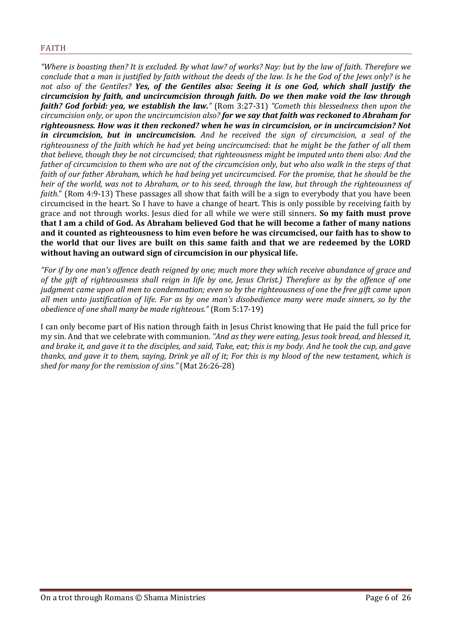<span id="page-5-0"></span>*"Where is boasting then? It is excluded. By what law? of works? Nay: but by the law of faith. Therefore we conclude that a man is justified by faith without the deeds of the law. Is he the God of the Jews only? is he not also of the Gentiles? Yes, of the Gentiles also: Seeing it is one God, which shall justify the circumcision by faith, and uncircumcision through faith. Do we then make void the law through faith? God forbid: yea, we establish the law."* (Rom 3:27-31) *"Cometh this blessedness then upon the circumcision only, or upon the uncircumcision also? for we say that faith was reckoned to Abraham for righteousness. How was it then reckoned? when he was in circumcision, or in uncircumcision? Not in circumcision, but in uncircumcision. And he received the sign of circumcision, a seal of the righteousness of the faith which he had yet being uncircumcised: that he might be the father of all them that believe, though they be not circumcised; that righteousness might be imputed unto them also: And the father of circumcision to them who are not of the circumcision only, but who also walk in the steps of that faith of our father Abraham, which he had being yet uncircumcised. For the promise, that he should be the heir of the world, was not to Abraham, or to his seed, through the law, but through the righteousness of faith.*" (Rom 4:9-13) These passages all show that faith will be a sign to everybody that you have been circumcised in the heart. So I have to have a change of heart. This is only possible by receiving faith by grace and not through works. Jesus died for all while we were still sinners. **So my faith must prove that I am a child of God. As Abraham believed God that he will become a father of many nations and it counted as righteousness to him even before he was circumcised, our faith has to show to the world that our lives are built on this same faith and that we are redeemed by the LORD without having an outward sign of circumcision in our physical life.**

*"For if by one man's offence death reigned by one; much more they which receive abundance of grace and of the gift of righteousness shall reign in life by one, Jesus Christ.) Therefore as by the offence of one judgment came upon all men to condemnation; even so by the righteousness of one the free gift came upon all men unto justification of life. For as by one man's disobedience many were made sinners, so by the obedience of one shall many be made righteous."* (Rom 5:17-19)

I can only become part of His nation through faith in Jesus Christ knowing that He paid the full price for my sin. And that we celebrate with communion. *"And as they were eating, Jesus took bread, and blessed it, and brake it, and gave it to the disciples, and said, Take, eat; this is my body. And he took the cup, and gave thanks, and gave it to them, saying, Drink ye all of it; For this is my blood of the new testament, which is shed for many for the remission of sins."* (Mat 26:26-28)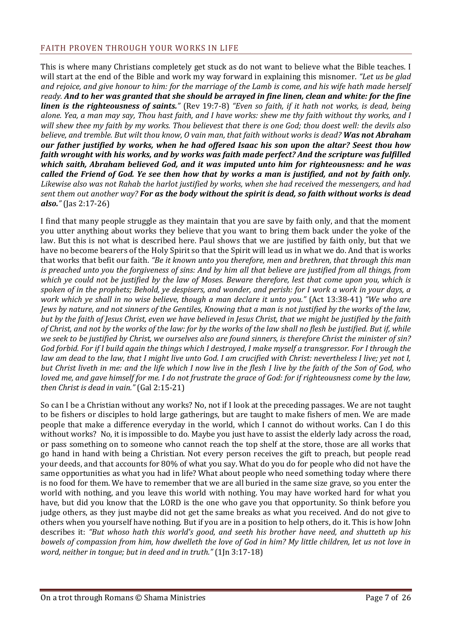## <span id="page-6-0"></span>FAITH PROVEN THROUGH YOUR WORKS IN LIFE

This is where many Christians completely get stuck as do not want to believe what the Bible teaches. I will start at the end of the Bible and work my way forward in explaining this misnomer. *"Let us be glad and rejoice, and give honour to him: for the marriage of the Lamb is come, and his wife hath made herself ready. And to her was granted that she should be arrayed in fine linen, clean and white: for the fine linen is the righteousness of saints."* (Rev 19:7-8) *"Even so faith, if it hath not works, is dead, being alone. Yea, a man may say, Thou hast faith, and I have works: shew me thy faith without thy works, and I will shew thee my faith by my works. Thou believest that there is one God; thou doest well: the devils also believe, and tremble. But wilt thou know, O vain man, that faith without works is dead? Was not Abraham our father justified by works, when he had offered Isaac his son upon the altar? Seest thou how faith wrought with his works, and by works was faith made perfect? And the scripture was fulfilled which saith, Abraham believed God, and it was imputed unto him for righteousness: and he was called the Friend of God. Ye see then how that by works a man is justified, and not by faith only. Likewise also was not Rahab the harlot justified by works, when she had received the messengers, and had sent them out another way? For as the body without the spirit is dead, so faith without works is dead also."* (Jas 2:17-26)

I find that many people struggle as they maintain that you are save by faith only, and that the moment you utter anything about works they believe that you want to bring them back under the yoke of the law. But this is not what is described here. Paul shows that we are justified by faith only, but that we have no become bearers of the Holy Spirit so that the Spirit will lead us in what we do. And that is works that works that befit our faith. *"Be it known unto you therefore, men and brethren, that through this man is preached unto you the forgiveness of sins: And by him all that believe are justified from all things, from which ye could not be justified by the law of Moses. Beware therefore, lest that come upon you, which is spoken of in the prophets; Behold, ye despisers, and wonder, and perish: for I work a work in your days, a work which ye shall in no wise believe, though a man declare it unto you."* (Act 13:38-41) *"We who are Jews by nature, and not sinners of the Gentiles, Knowing that a man is not justified by the works of the law, but by the faith of Jesus Christ, even we have believed in Jesus Christ, that we might be justified by the faith of Christ, and not by the works of the law: for by the works of the law shall no flesh be justified. But if, while we seek to be justified by Christ, we ourselves also are found sinners, is therefore Christ the minister of sin? God forbid. For if I build again the things which I destroyed, I make myself a transgressor. For I through the law am dead to the law, that I might live unto God. I am crucified with Christ: nevertheless I live; yet not I, but Christ liveth in me: and the life which I now live in the flesh I live by the faith of the Son of God, who loved me, and gave himself for me. I do not frustrate the grace of God: for if righteousness come by the law, then Christ is dead in vain."* (Gal 2:15-21)

So can I be a Christian without any works? No, not if I look at the preceding passages. We are not taught to be fishers or disciples to hold large gatherings, but are taught to make fishers of men. We are made people that make a difference everyday in the world, which I cannot do without works. Can I do this without works? No, it is impossible to do. Maybe you just have to assist the elderly lady across the road, or pass something on to someone who cannot reach the top shelf at the store, those are all works that go hand in hand with being a Christian. Not every person receives the gift to preach, but people read your deeds, and that accounts for 80% of what you say. What do you do for people who did not have the same opportunities as what you had in life? What about people who need something today where there is no food for them. We have to remember that we are all buried in the same size grave, so you enter the world with nothing, and you leave this world with nothing. You may have worked hard for what you have, but did you know that the LORD is the one who gave you that opportunity. So think before you judge others, as they just maybe did not get the same breaks as what you received. And do not give to others when you yourself have nothing. But if you are in a position to help others, do it. This is how John describes it: *"But whoso hath this world's good, and seeth his brother have need, and shutteth up his bowels of compassion from him, how dwelleth the love of God in him? My little children, let us not love in word, neither in tongue; but in deed and in truth."* (1Jn 3:17-18)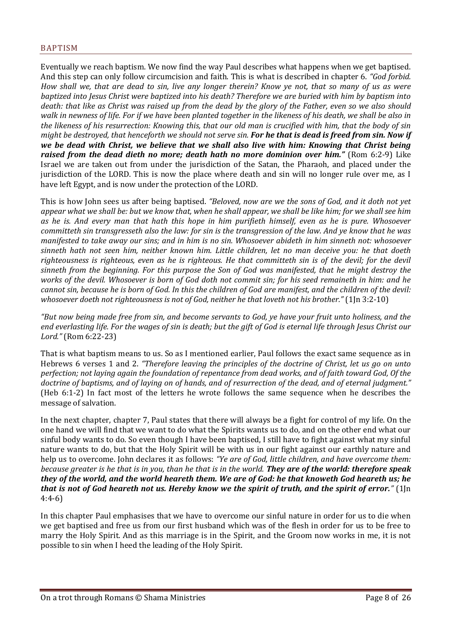<span id="page-7-0"></span>Eventually we reach baptism. We now find the way Paul describes what happens when we get baptised. And this step can only follow circumcision and faith. This is what is described in chapter 6. *"God forbid. How shall we, that are dead to sin, live any longer therein? Know ye not, that so many of us as were baptized into Jesus Christ were baptized into his death? Therefore we are buried with him by baptism into death: that like as Christ was raised up from the dead by the glory of the Father, even so we also should walk in newness of life. For if we have been planted together in the likeness of his death, we shall be also in the likeness of his resurrection: Knowing this, that our old man is crucified with him, that the body of sin might be destroyed, that henceforth we should not serve sin. For he that is dead is freed from sin. Now if we be dead with Christ, we believe that we shall also live with him: Knowing that Christ being raised from the dead dieth no more; death hath no more dominion over him."* (Rom 6:2-9) Like Israel we are taken out from under the jurisdiction of the Satan, the Pharaoh, and placed under the jurisdiction of the LORD. This is now the place where death and sin will no longer rule over me, as I have left Egypt, and is now under the protection of the LORD.

This is how John sees us after being baptised. *"Beloved, now are we the sons of God, and it doth not yet appear what we shall be: but we know that, when he shall appear, we shall be like him; for we shall see him as he is. And every man that hath this hope in him purifieth himself, even as he is pure. Whosoever committeth sin transgresseth also the law: for sin is the transgression of the law. And ye know that he was manifested to take away our sins; and in him is no sin. Whosoever abideth in him sinneth not: whosoever sinneth hath not seen him, neither known him. Little children, let no man deceive you: he that doeth*  righteousness is righteous, even as he is righteous. He that committeth sin is of the devil; for the devil *sinneth from the beginning. For this purpose the Son of God was manifested, that he might destroy the works of the devil. Whosoever is born of God doth not commit sin; for his seed remaineth in him: and he cannot sin, because he is born of God. In this the children of God are manifest, and the children of the devil: whosoever doeth not righteousness is not of God, neither he that loveth not his brother."* (1Jn 3:2-10)

*"But now being made free from sin, and become servants to God, ye have your fruit unto holiness, and the end everlasting life. For the wages of sin is death; but the gift of God is eternal life through Jesus Christ our Lord."* (Rom 6:22-23)

That is what baptism means to us. So as I mentioned earlier, Paul follows the exact same sequence as in Hebrews 6 verses 1 and 2. *"Therefore leaving the principles of the doctrine of Christ, let us go on unto perfection; not laying again the foundation of repentance from dead works, and of faith toward God, Of the doctrine of baptisms, and of laying on of hands, and of resurrection of the dead, and of eternal judgment."* (Heb 6:1-2) In fact most of the letters he wrote follows the same sequence when he describes the message of salvation.

In the next chapter, chapter 7, Paul states that there will always be a fight for control of my life. On the one hand we will find that we want to do what the Spirits wants us to do, and on the other end what our sinful body wants to do. So even though I have been baptised, I still have to fight against what my sinful nature wants to do, but that the Holy Spirit will be with us in our fight against our earthly nature and help us to overcome. John declares it as follows: *"Ye are of God, little children, and have overcome them: because greater is he that is in you, than he that is in the world. They are of the world: therefore speak they of the world, and the world heareth them. We are of God: he that knoweth God heareth us; he that is not of God heareth not us. Hereby know we the spirit of truth, and the spirit of error."* (1Jn 4:4-6)

In this chapter Paul emphasises that we have to overcome our sinful nature in order for us to die when we get baptised and free us from our first husband which was of the flesh in order for us to be free to marry the Holy Spirit. And as this marriage is in the Spirit, and the Groom now works in me, it is not possible to sin when I heed the leading of the Holy Spirit.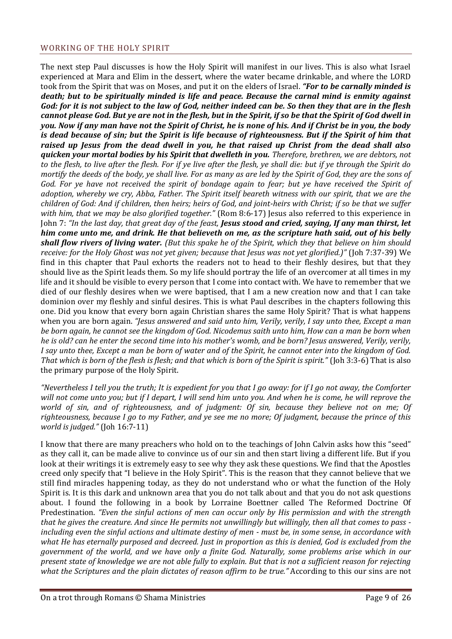#### <span id="page-8-0"></span>WORKING OF THE HOLY SPIRIT

The next step Paul discusses is how the Holy Spirit will manifest in our lives. This is also what Israel experienced at Mara and Elim in the dessert, where the water became drinkable, and where the LORD took from the Spirit that was on Moses, and put it on the elders of Israel. *"For to be carnally minded is death; but to be spiritually minded is life and peace. Because the carnal mind is enmity against God: for it is not subject to the law of God, neither indeed can be. So then they that are in the flesh cannot please God. But ye are not in the flesh, but in the Spirit, if so be that the Spirit of God dwell in you. Now if any man have not the Spirit of Christ, he is none of his. And if Christ be in you, the body is dead because of sin; but the Spirit is life because of righteousness. But if the Spirit of him that raised up Jesus from the dead dwell in you, he that raised up Christ from the dead shall also quicken your mortal bodies by his Spirit that dwelleth in you. Therefore, brethren, we are debtors, not to the flesh, to live after the flesh. For if ye live after the flesh, ye shall die: but if ye through the Spirit do mortify the deeds of the body, ye shall live. For as many as are led by the Spirit of God, they are the sons of God. For ye have not received the spirit of bondage again to fear; but ye have received the Spirit of adoption, whereby we cry, Abba, Father. The Spirit itself beareth witness with our spirit, that we are the children of God: And if children, then heirs; heirs of God, and joint-heirs with Christ; if so be that we suffer with him, that we may be also glorified together."* (Rom 8:6-17) Jesus also referred to this experience in John 7: *"In the last day, that great day of the feast, Jesus stood and cried, saying, If any man thirst, let him come unto me, and drink. He that believeth on me, as the scripture hath said, out of his belly shall flow rivers of living water. (But this spake he of the Spirit, which they that believe on him should receive: for the Holy Ghost was not yet given; because that Jesus was not yet glorified.)"* (Joh 7:37-39) We find in this chapter that Paul exhorts the readers not to head to their fleshly desires, but that they should live as the Spirit leads them. So my life should portray the life of an overcomer at all times in my life and it should be visible to every person that I come into contact with. We have to remember that we died of our fleshly desires when we were baptised, that I am a new creation now and that I can take dominion over my fleshly and sinful desires. This is what Paul describes in the chapters following this one. Did you know that every born again Christian shares the same Holy Spirit? That is what happens when you are born again. *"Jesus answered and said unto him, Verily, verily, I say unto thee, Except a man be born again, he cannot see the kingdom of God. Nicodemus saith unto him, How can a man be born when he is old? can he enter the second time into his mother's womb, and be born? Jesus answered, Verily, verily, I say unto thee, Except a man be born of water and of the Spirit, he cannot enter into the kingdom of God. That which is born of the flesh is flesh; and that which is born of the Spirit is spirit."* (Joh 3:3-6) That is also the primary purpose of the Holy Spirit.

*"Nevertheless I tell you the truth; It is expedient for you that I go away: for if I go not away, the Comforter will not come unto you; but if I depart, I will send him unto you. And when he is come, he will reprove the world of sin, and of righteousness, and of judgment: Of sin, because they believe not on me; Of righteousness, because I go to my Father, and ye see me no more; Of judgment, because the prince of this world is judged."* (Joh 16:7-11)

I know that there are many preachers who hold on to the teachings of John Calvin asks how this "seed" as they call it, can be made alive to convince us of our sin and then start living a different life. But if you look at their writings it is extremely easy to see why they ask these questions. We find that the Apostles creed only specify that "I believe in the Holy Spirit". This is the reason that they cannot believe that we still find miracles happening today, as they do not understand who or what the function of the Holy Spirit is. It is this dark and unknown area that you do not talk about and that you do not ask questions about. I found the following in a book by Lorraine Boettner called The Reformed Doctrine Of Predestination. *"Even the sinful actions of men can occur only by His permission and with the strength that he gives the creature. And since He permits not unwillingly but willingly, then all that comes to pass including even the sinful actions and ultimate destiny of men - must be, in some sense, in accordance with what He has eternally purposed and decreed. Just in proportion as this is denied, God is excluded from the government of the world, and we have only a finite God. Naturally, some problems arise which in our present state of knowledge we are not able fully to explain. But that is not a sufficient reason for rejecting what the Scriptures and the plain dictates of reason affirm to be true."* According to this our sins are not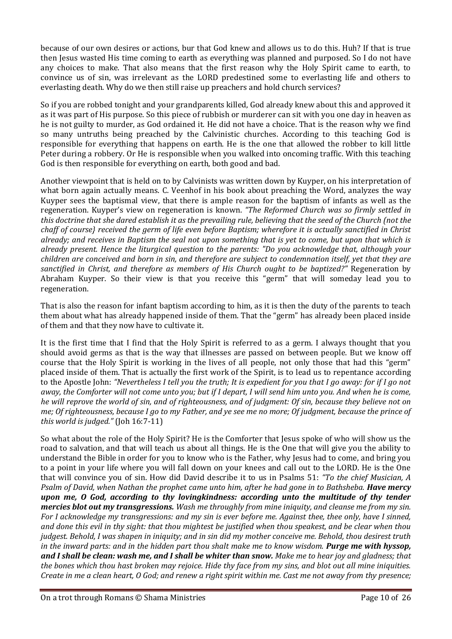because of our own desires or actions, bur that God knew and allows us to do this. Huh? If that is true then Jesus wasted His time coming to earth as everything was planned and purposed. So I do not have any choices to make. That also means that the first reason why the Holy Spirit came to earth, to convince us of sin, was irrelevant as the LORD predestined some to everlasting life and others to everlasting death. Why do we then still raise up preachers and hold church services?

So if you are robbed tonight and your grandparents killed, God already knew about this and approved it as it was part of His purpose. So this piece of rubbish or murderer can sit with you one day in heaven as he is not guilty to murder, as God ordained it. He did not have a choice. That is the reason why we find so many untruths being preached by the Calvinistic churches. According to this teaching God is responsible for everything that happens on earth. He is the one that allowed the robber to kill little Peter during a robbery. Or He is responsible when you walked into oncoming traffic. With this teaching God is then responsible for everything on earth, both good and bad.

Another viewpoint that is held on to by Calvinists was written down by Kuyper, on his interpretation of what born again actually means. C. Veenhof in his book about preaching the Word, analyzes the way Kuyper sees the baptismal view, that there is ample reason for the baptism of infants as well as the regeneration. Kuyper's view on regeneration is known. *"The Reformed Church was so firmly settled in this doctrine that she dared establish it as the prevailing rule, believing that the seed of the Church (not the chaff of course} received the germ of life even before Baptism; wherefore it is actually sanctified in Christ already; and receives in Baptism the seal not upon something that is yet to come, but upon that which is already present. Hence the liturgical question to the parents: "Do you acknowledge that, although your children are conceived and born in sin, and therefore are subject to condemnation itself, yet that they are sanctified in Christ, and therefore as members of His Church ought to be baptized?"* Regeneration by Abraham Kuyper. So their view is that you receive this "germ" that will someday lead you to regeneration.

That is also the reason for infant baptism according to him, as it is then the duty of the parents to teach them about what has already happened inside of them. That the "germ" has already been placed inside of them and that they now have to cultivate it.

It is the first time that I find that the Holy Spirit is referred to as a germ. I always thought that you should avoid germs as that is the way that illnesses are passed on between people. But we know off course that the Holy Spirit is working in the lives of all people, not only those that had this "germ" placed inside of them. That is actually the first work of the Spirit, is to lead us to repentance according to the Apostle John: *"Nevertheless I tell you the truth; It is expedient for you that I go away: for if I go not away, the Comforter will not come unto you; but if I depart, I will send him unto you. And when he is come, he will reprove the world of sin, and of righteousness, and of judgment: Of sin, because they believe not on me; Of righteousness, because I go to my Father, and ye see me no more; Of judgment, because the prince of this world is judged."* (Joh 16:7-11)

So what about the role of the Holy Spirit? He is the Comforter that Jesus spoke of who will show us the road to salvation, and that will teach us about all things. He is the One that will give you the ability to understand the Bible in order for you to know who is the Father, why Jesus had to come, and bring you to a point in your life where you will fall down on your knees and call out to the LORD. He is the One that will convince you of sin. How did David describe it to us in Psalms 51: *"To the chief Musician, A Psalm of David, when Nathan the prophet came unto him, after he had gone in to Bathsheba. Have mercy upon me, O God, according to thy lovingkindness: according unto the multitude of thy tender mercies blot out my transgressions. Wash me throughly from mine iniquity, and cleanse me from my sin. For I acknowledge my transgressions: and my sin is ever before me. Against thee, thee only, have I sinned, and done this evil in thy sight: that thou mightest be justified when thou speakest, and be clear when thou judgest. Behold, I was shapen in iniquity; and in sin did my mother conceive me. Behold, thou desirest truth in the inward parts: and in the hidden part thou shalt make me to know wisdom. Purge me with hyssop, and I shall be clean: wash me, and I shall be whiter than snow. Make me to hear joy and gladness; that the bones which thou hast broken may rejoice. Hide thy face from my sins, and blot out all mine iniquities. Create in me a clean heart, O God; and renew a right spirit within me. Cast me not away from thy presence;*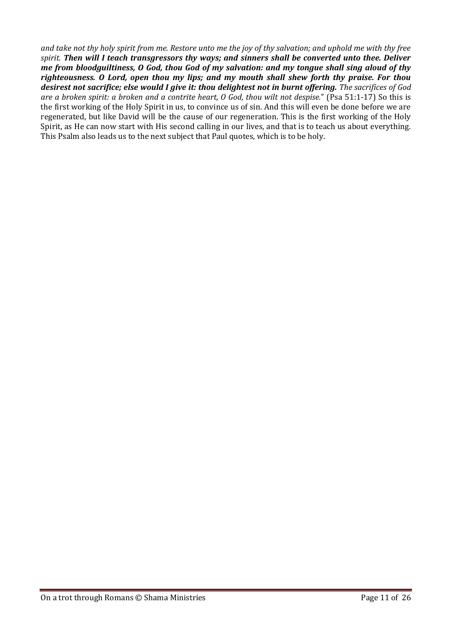*and take not thy holy spirit from me. Restore unto me the joy of thy salvation; and uphold me with thy free spirit. Then will I teach transgressors thy ways; and sinners shall be converted unto thee. Deliver me from bloodguiltiness, O God, thou God of my salvation: and my tongue shall sing aloud of thy righteousness. O Lord, open thou my lips; and my mouth shall shew forth thy praise. For thou desirest not sacrifice; else would I give it: thou delightest not in burnt offering. The sacrifices of God are a broken spirit: a broken and a contrite heart, O God, thou wilt not despise.*" (Psa 51:1-17) So this is the first working of the Holy Spirit in us, to convince us of sin. And this will even be done before we are regenerated, but like David will be the cause of our regeneration. This is the first working of the Holy Spirit, as He can now start with His second calling in our lives, and that is to teach us about everything. This Psalm also leads us to the next subject that Paul quotes, which is to be holy.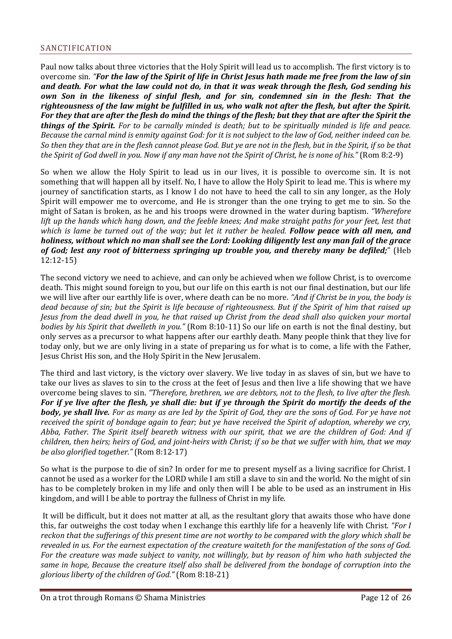<span id="page-11-0"></span>Paul now talks about three victories that the Holy Spirit will lead us to accomplish. The first victory is to overcome sin. *"For the law of the Spirit of life in Christ Jesus hath made me free from the law of sin and death. For what the law could not do, in that it was weak through the flesh, God sending his own Son in the likeness of sinful flesh, and for sin, condemned sin in the flesh: That the righteousness of the law might be fulfilled in us, who walk not after the flesh, but after the Spirit. For they that are after the flesh do mind the things of the flesh; but they that are after the Spirit the things of the Spirit. For to be carnally minded is death; but to be spiritually minded is life and peace. Because the carnal mind is enmity against God: for it is not subject to the law of God, neither indeed can be. So then they that are in the flesh cannot please God. But ye are not in the flesh, but in the Spirit, if so be that the Spirit of God dwell in you. Now if any man have not the Spirit of Christ, he is none of his."* (Rom 8:2-9)

So when we allow the Holy Spirit to lead us in our lives, it is possible to overcome sin. It is not something that will happen all by itself. No, I have to allow the Holy Spirit to lead me. This is where my journey of sanctification starts, as I know I do not have to heed the call to sin any longer, as the Holy Spirit will empower me to overcome, and He is stronger than the one trying to get me to sin. So the might of Satan is broken, as he and his troops were drowned in the water during baptism. *"Wherefore lift up the hands which hang down, and the feeble knees; And make straight paths for your feet, lest that which is lame be turned out of the way; but let it rather be healed. Follow peace with all men, and holiness, without which no man shall see the Lord: Looking diligently lest any man fail of the grace of God; lest any root of bitterness springing up trouble you, and thereby many be defiled;*" (Heb 12:12-15)

The second victory we need to achieve, and can only be achieved when we follow Christ, is to overcome death. This might sound foreign to you, but our life on this earth is not our final destination, but our life we will live after our earthly life is over, where death can be no more. *"And if Christ be in you, the body is dead because of sin; but the Spirit is life because of righteousness. But if the Spirit of him that raised up Jesus from the dead dwell in you, he that raised up Christ from the dead shall also quicken your mortal bodies by his Spirit that dwelleth in you."* (Rom 8:10-11) So our life on earth is not the final destiny, but only serves as a precursor to what happens after our earthly death. Many people think that they live for today only, but we are only living in a state of preparing us for what is to come, a life with the Father, Jesus Christ His son, and the Holy Spirit in the New Jerusalem.

The third and last victory, is the victory over slavery. We live today in as slaves of sin, but we have to take our lives as slaves to sin to the cross at the feet of Jesus and then live a life showing that we have overcome being slaves to sin. *"Therefore, brethren, we are debtors, not to the flesh, to live after the flesh. For if ye live after the flesh, ye shall die: but if ye through the Spirit do mortify the deeds of the body, ye shall live. For as many as are led by the Spirit of God, they are the sons of God. For ye have not received the spirit of bondage again to fear; but ye have received the Spirit of adoption, whereby we cry, Abba, Father. The Spirit itself beareth witness with our spirit, that we are the children of God: And if children, then heirs; heirs of God, and joint-heirs with Christ; if so be that we suffer with him, that we may be also glorified together."* (Rom 8:12-17)

So what is the purpose to die of sin? In order for me to present myself as a living sacrifice for Christ. I cannot be used as a worker for the LORD while I am still a slave to sin and the world. No the might of sin has to be completely broken in my life and only then will I be able to be used as an instrument in His kingdom, and will I be able to portray the fullness of Christ in my life.

It will be difficult, but it does not matter at all, as the resultant glory that awaits those who have done this, far outweighs the cost today when I exchange this earthly life for a heavenly life with Christ. *"For I reckon that the sufferings of this present time are not worthy to be compared with the glory which shall be revealed in us. For the earnest expectation of the creature waiteth for the manifestation of the sons of God. For the creature was made subject to vanity, not willingly, but by reason of him who hath subjected the same in hope, Because the creature itself also shall be delivered from the bondage of corruption into the glorious liberty of the children of God."* (Rom 8:18-21)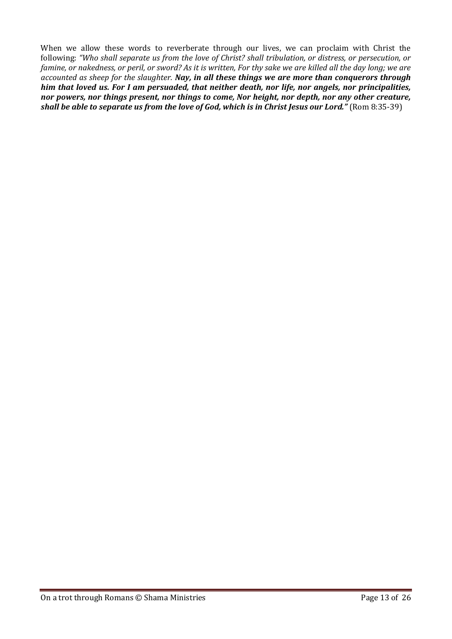When we allow these words to reverberate through our lives, we can proclaim with Christ the following: *"Who shall separate us from the love of Christ? shall tribulation, or distress, or persecution, or famine, or nakedness, or peril, or sword? As it is written, For thy sake we are killed all the day long; we are accounted as sheep for the slaughter. Nay, in all these things we are more than conquerors through him that loved us. For I am persuaded, that neither death, nor life, nor angels, nor principalities, nor powers, nor things present, nor things to come, Nor height, nor depth, nor any other creature, shall be able to separate us from the love of God, which is in Christ Jesus our Lord."* (Rom 8:35-39)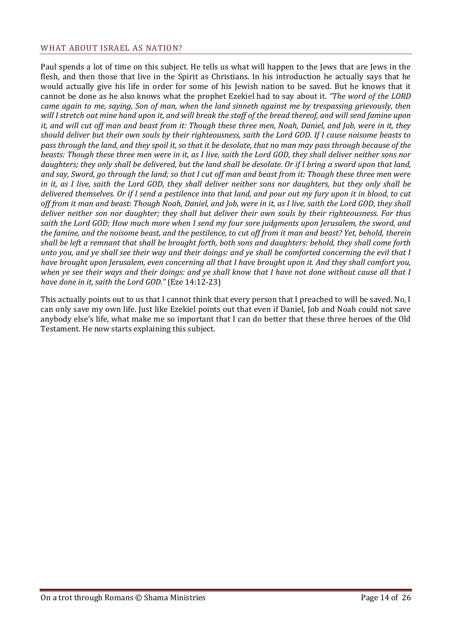#### <span id="page-13-0"></span>WHAT ABOUT ISRAEL AS NATION?

Paul spends a lot of time on this subject. He tells us what will happen to the Jews that are Jews in the flesh, and then those that live in the Spirit as Christians. In his introduction he actually says that he would actually give his life in order for some of his Jewish nation to be saved. But he knows that it cannot be done as he also knows what the prophet Ezekiel had to say about it. *"The word of the LORD came again to me, saying, Son of man, when the land sinneth against me by trespassing grievously, then will I stretch out mine hand upon it, and will break the staff of the bread thereof, and will send famine upon it, and will cut off man and beast from it: Though these three men, Noah, Daniel, and Job, were in it, they should deliver but their own souls by their righteousness, saith the Lord GOD. If I cause noisome beasts to pass through the land, and they spoil it, so that it be desolate, that no man may pass through because of the beasts: Though these three men were in it, as I live, saith the Lord GOD, they shall deliver neither sons nor daughters; they only shall be delivered, but the land shall be desolate. Or if I bring a sword upon that land, and say, Sword, go through the land; so that I cut off man and beast from it: Though these three men were in it, as I live, saith the Lord GOD, they shall deliver neither sons nor daughters, but they only shall be delivered themselves. Or if I send a pestilence into that land, and pour out my fury upon it in blood, to cut off from it man and beast: Though Noah, Daniel, and Job, were in it, as I live, saith the Lord GOD, they shall deliver neither son nor daughter; they shall but deliver their own souls by their righteousness. For thus saith the Lord GOD; How much more when I send my four sore judgments upon Jerusalem, the sword, and the famine, and the noisome beast, and the pestilence, to cut off from it man and beast? Yet, behold, therein shall be left a remnant that shall be brought forth, both sons and daughters: behold, they shall come forth unto you, and ye shall see their way and their doings: and ye shall be comforted concerning the evil that I have brought upon Jerusalem, even concerning all that I have brought upon it. And they shall comfort you, when ye see their ways and their doings: and ye shall know that I have not done without cause all that I have done in it, saith the Lord GOD."* (Eze 14:12-23)

This actually points out to us that I cannot think that every person that I preached to will be saved. No, I can only save my own life. Just like Ezekiel points out that even if Daniel, Job and Noah could not save anybody else's life, what make me so important that I can do better that these three heroes of the Old Testament. He now starts explaining this subject.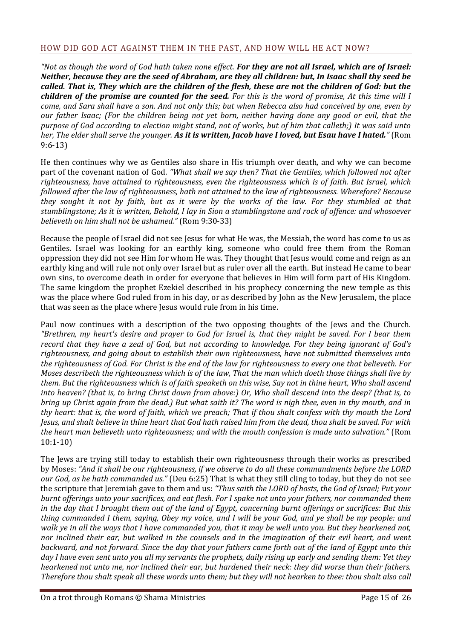## <span id="page-14-0"></span>HOW DID GOD ACT AGAINST THEM IN THE PAST, AND HOW WILL HE ACT NOW?

*"Not as though the word of God hath taken none effect. For they are not all Israel, which are of Israel: Neither, because they are the seed of Abraham, are they all children: but, In Isaac shall thy seed be called. That is, They which are the children of the flesh, these are not the children of God: but the children of the promise are counted for the seed. For this is the word of promise, At this time will I come, and Sara shall have a son. And not only this; but when Rebecca also had conceived by one, even by our father Isaac; (For the children being not yet born, neither having done any good or evil, that the purpose of God according to election might stand, not of works, but of him that calleth;) It was said unto her, The elder shall serve the younger. As it is written, Jacob have I loved, but Esau have I hated."* (Rom 9:6-13)

He then continues why we as Gentiles also share in His triumph over death, and why we can become part of the covenant nation of God. *"What shall we say then? That the Gentiles, which followed not after righteousness, have attained to righteousness, even the righteousness which is of faith. But Israel, which followed after the law of righteousness, hath not attained to the law of righteousness. Wherefore? Because they sought it not by faith, but as it were by the works of the law. For they stumbled at that stumblingstone; As it is written, Behold, I lay in Sion a stumblingstone and rock of offence: and whosoever believeth on him shall not be ashamed."* (Rom 9:30-33)

Because the people of Israel did not see Jesus for what He was, the Messiah, the word has come to us as Gentiles. Israel was looking for an earthly king, someone who could free them from the Roman oppression they did not see Him for whom He was. They thought that Jesus would come and reign as an earthly king and will rule not only over Israel but as ruler over all the earth. But instead He came to bear own sins, to overcome death in order for everyone that believes in Him will form part of His Kingdom. The same kingdom the prophet Ezekiel described in his prophecy concerning the new temple as this was the place where God ruled from in his day, or as described by John as the New Jerusalem, the place that was seen as the place where Jesus would rule from in his time.

Paul now continues with a description of the two opposing thoughts of the Jews and the Church. *"Brethren, my heart's desire and prayer to God for Israel is, that they might be saved. For I bear them record that they have a zeal of God, but not according to knowledge. For they being ignorant of God's righteousness, and going about to establish their own righteousness, have not submitted themselves unto the righteousness of God. For Christ is the end of the law for righteousness to every one that believeth. For Moses describeth the righteousness which is of the law, That the man which doeth those things shall live by them. But the righteousness which is of faith speaketh on this wise, Say not in thine heart, Who shall ascend into heaven? (that is, to bring Christ down from above:) Or, Who shall descend into the deep? (that is, to bring up Christ again from the dead.) But what saith it? The word is nigh thee, even in thy mouth, and in thy heart: that is, the word of faith, which we preach; That if thou shalt confess with thy mouth the Lord Jesus, and shalt believe in thine heart that God hath raised him from the dead, thou shalt be saved. For with the heart man believeth unto righteousness; and with the mouth confession is made unto salvation."* (Rom 10:1-10)

The Jews are trying still today to establish their own righteousness through their works as prescribed by Moses: *"And it shall be our righteousness, if we observe to do all these commandments before the LORD our God, as he hath commanded us."* (Deu 6:25) That is what they still cling to today, but they do not see the scripture that Jeremiah gave to them and us: *"Thus saith the LORD of hosts, the God of Israel; Put your burnt offerings unto your sacrifices, and eat flesh. For I spake not unto your fathers, nor commanded them in the day that I brought them out of the land of Egypt, concerning burnt offerings or sacrifices: But this thing commanded I them, saying, Obey my voice, and I will be your God, and ye shall be my people: and walk ye in all the ways that I have commanded you, that it may be well unto you. But they hearkened not, nor inclined their ear, but walked in the counsels and in the imagination of their evil heart, and went backward, and not forward. Since the day that your fathers came forth out of the land of Egypt unto this day I have even sent unto you all my servants the prophets, daily rising up early and sending them: Yet they hearkened not unto me, nor inclined their ear, but hardened their neck: they did worse than their fathers. Therefore thou shalt speak all these words unto them; but they will not hearken to thee: thou shalt also call*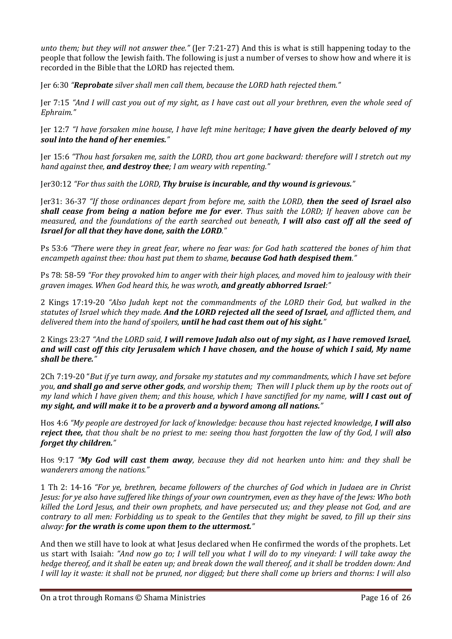*unto them; but they will not answer thee."* (Jer 7:21-27) And this is what is still happening today to the people that follow the Jewish faith. The following is just a number of verses to show how and where it is recorded in the Bible that the LORD has rejected them.

Jer 6:30 *"Reprobate silver shall men call them, because the LORD hath rejected them."*

Jer 7:15 *"And I will cast you out of my sight, as I have cast out all your brethren, even the whole seed of Ephraim."*

Jer 12:7 *"I have forsaken mine house, I have left mine heritage; I have given the dearly beloved of my soul into the hand of her enemies."*

Jer 15:6 *"Thou hast forsaken me, saith the LORD, thou art gone backward: therefore will I stretch out my hand against thee, and destroy thee; I am weary with repenting."*

Jer30:12 *"For thus saith the LORD, Thy bruise is incurable, and thy wound is grievous."*

Jer31: 36-37 *"If those ordinances depart from before me, saith the LORD, then the seed of Israel also shall cease from being a nation before me for ever. Thus saith the LORD; If heaven above can be measured, and the foundations of the earth searched out beneath, I will also cast off all the seed of Israel for all that they have done, saith the LORD."*

Ps 53:6 *"There were they in great fear, where no fear was: for God hath scattered the bones of him that encampeth against thee: thou hast put them to shame, because God hath despised them."*

Ps 78: 58-59 *"For they provoked him to anger with their high places, and moved him to jealousy with their graven images. When God heard this, he was wroth, and greatly abhorred Israel:"*

2 Kings 17:19-20 *"Also Judah kept not the commandments of the LORD their God, but walked in the statutes of Israel which they made. And the LORD rejected all the seed of Israel, and afflicted them, and delivered them into the hand of spoilers, until he had cast them out of his sight."*

2 Kings 23:27 *"And the LORD said, I will remove Judah also out of my sight, as I have removed Israel, and will cast off this city Jerusalem which I have chosen, and the house of which I said, My name shall be there."*

2Ch 7:19-20 "*But if ye turn away, and forsake my statutes and my commandments, which I have set before you, and shall go and serve other gods, and worship them; Then will I pluck them up by the roots out of my land which I have given them; and this house, which I have sanctified for my name, will I cast out of my sight, and will make it to be a proverb and a byword among all nations."*

Hos 4:6 *"My people are destroyed for lack of knowledge: because thou hast rejected knowledge, I will also reject thee, that thou shalt be no priest to me: seeing thou hast forgotten the law of thy God, I will also forget thy children."*

Hos 9:17 *"My God will cast them away, because they did not hearken unto him: and they shall be wanderers among the nations."*

1 Th 2: 14-16 *"For ye, brethren, became followers of the churches of God which in Judaea are in Christ Jesus: for ye also have suffered like things of your own countrymen, even as they have of the Jews: Who both killed the Lord Jesus, and their own prophets, and have persecuted us; and they please not God, and are contrary to all men: Forbidding us to speak to the Gentiles that they might be saved, to fill up their sins alway: for the wrath is come upon them to the uttermost."*

And then we still have to look at what Jesus declared when He confirmed the words of the prophets. Let us start with Isaiah: *"And now go to; I will tell you what I will do to my vineyard: I will take away the hedge thereof, and it shall be eaten up; and break down the wall thereof, and it shall be trodden down: And I will lay it waste: it shall not be pruned, nor digged; but there shall come up briers and thorns: I will also*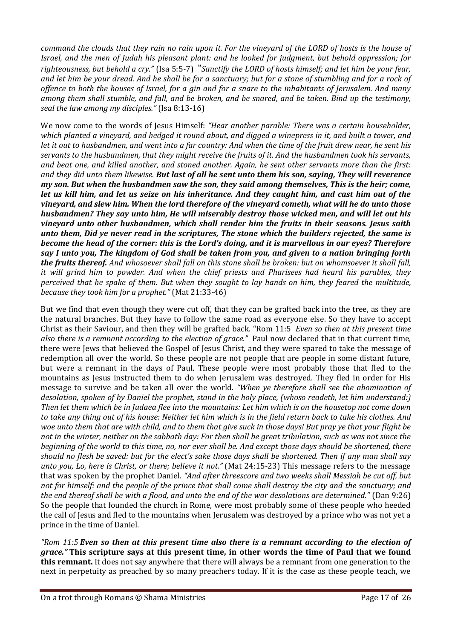*command the clouds that they rain no rain upon it. For the vineyard of the LORD of hosts is the house of Israel, and the men of Judah his pleasant plant: and he looked for judgment, but behold oppression; for righteousness, but behold a cry."* (Isa 5:5-7) *"Sanctify the LORD of hosts himself; and let him be your fear, and let him be your dread. And he shall be for a sanctuary; but for a stone of stumbling and for a rock of offence to both the houses of Israel, for a gin and for a snare to the inhabitants of Jerusalem. And many among them shall stumble, and fall, and be broken, and be snared, and be taken. Bind up the testimony, seal the law among my disciples."* (Isa 8:13-16)

We now come to the words of Jesus Himself: *"Hear another parable: There was a certain householder, which planted a vineyard, and hedged it round about, and digged a winepress in it, and built a tower, and let it out to husbandmen, and went into a far country: And when the time of the fruit drew near, he sent his servants to the husbandmen, that they might receive the fruits of it. And the husbandmen took his servants, and beat one, and killed another, and stoned another. Again, he sent other servants more than the first: and they did unto them likewise. But last of all he sent unto them his son, saying, They will reverence my son. But when the husbandmen saw the son, they said among themselves, This is the heir; come, let us kill him, and let us seize on his inheritance. And they caught him, and cast him out of the vineyard, and slew him. When the lord therefore of the vineyard cometh, what will he do unto those husbandmen? They say unto him, He will miserably destroy those wicked men, and will let out his vineyard unto other husbandmen, which shall render him the fruits in their seasons. Jesus saith unto them, Did ye never read in the scriptures, The stone which the builders rejected, the same is become the head of the corner: this is the Lord's doing, and it is marvellous in our eyes? Therefore say I unto you, The kingdom of God shall be taken from you, and given to a nation bringing forth the fruits thereof. And whosoever shall fall on this stone shall be broken: but on whomsoever it shall fall, it will grind him to powder. And when the chief priests and Pharisees had heard his parables, they perceived that he spake of them. But when they sought to lay hands on him, they feared the multitude, because they took him for a prophet."* (Mat 21:33-46)

But we find that even though they were cut off, that they can be grafted back into the tree, as they are the natural branches. But they have to follow the same road as everyone else. So they have to accept Christ as their Saviour, and then they will be grafted back. "Rom 11:5 *Even so then at this present time also there is a remnant according to the election of grace."* Paul now declared that in that current time, there were Jews that believed the Gospel of Jesus Christ, and they were spared to take the message of redemption all over the world. So these people are not people that are people in some distant future, but were a remnant in the days of Paul. These people were most probably those that fled to the mountains as Jesus instructed them to do when Jerusalem was destroyed. They fled in order for His message to survive and be taken all over the world. *"When ye therefore shall see the abomination of desolation, spoken of by Daniel the prophet, stand in the holy place, (whoso readeth, let him understand:) Then let them which be in Judaea flee into the mountains: Let him which is on the housetop not come down to take any thing out of his house: Neither let him which is in the field return back to take his clothes. And woe unto them that are with child, and to them that give suck in those days! But pray ye that your flight be not in the winter, neither on the sabbath day: For then shall be great tribulation, such as was not since the beginning of the world to this time, no, nor ever shall be. And except those days should be shortened, there should no flesh be saved: but for the elect's sake those days shall be shortened. Then if any man shall say unto you, Lo, here is Christ, or there; believe it not."* (Mat 24:15-23) This message refers to the message that was spoken by the prophet Daniel. *"And after threescore and two weeks shall Messiah be cut off, but not for himself: and the people of the prince that shall come shall destroy the city and the sanctuary; and the end thereof shall be with a flood, and unto the end of the war desolations are determined."* (Dan 9:26) So the people that founded the church in Rome, were most probably some of these people who heeded the call of Jesus and fled to the mountains when Jerusalem was destroyed by a prince who was not yet a prince in the time of Daniel.

*"Rom 11:5 Even so then at this present time also there is a remnant according to the election of grace."* **This scripture says at this present time, in other words the time of Paul that we found this remnant.** It does not say anywhere that there will always be a remnant from one generation to the next in perpetuity as preached by so many preachers today. If it is the case as these people teach, we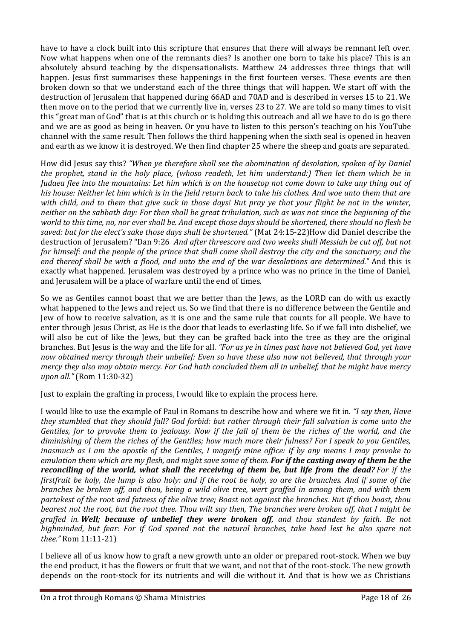have to have a clock built into this scripture that ensures that there will always be remnant left over. Now what happens when one of the remnants dies? Is another one born to take his place? This is an absolutely absurd teaching by the dispensationalists. Matthew 24 addresses three things that will happen. Jesus first summarises these happenings in the first fourteen verses. These events are then broken down so that we understand each of the three things that will happen. We start off with the destruction of Jerusalem that happened during 66AD and 70AD and is described in verses 15 to 21. We then move on to the period that we currently live in, verses 23 to 27. We are told so many times to visit this "great man of God" that is at this church or is holding this outreach and all we have to do is go there and we are as good as being in heaven. Or you have to listen to this person's teaching on his YouTube channel with the same result. Then follows the third happening when the sixth seal is opened in heaven and earth as we know it is destroyed. We then find chapter 25 where the sheep and goats are separated.

How did Jesus say this? *"When ye therefore shall see the abomination of desolation, spoken of by Daniel the prophet, stand in the holy place, (whoso readeth, let him understand:) Then let them which be in Judaea flee into the mountains: Let him which is on the housetop not come down to take any thing out of his house: Neither let him which is in the field return back to take his clothes. And woe unto them that are with child, and to them that give suck in those days! But pray ye that your flight be not in the winter, neither on the sabbath day: For then shall be great tribulation, such as was not since the beginning of the world to this time, no, nor ever shall be. And except those days should be shortened, there should no flesh be saved: but for the elect's sake those days shall be shortened."* (Mat 24:15-22)How did Daniel describe the destruction of Jerusalem? "Dan 9:26 *And after threescore and two weeks shall Messiah be cut off, but not for himself: and the people of the prince that shall come shall destroy the city and the sanctuary; and the end thereof shall be with a flood, and unto the end of the war desolations are determined.*" And this is exactly what happened. Jerusalem was destroyed by a prince who was no prince in the time of Daniel, and Jerusalem will be a place of warfare until the end of times.

So we as Gentiles cannot boast that we are better than the Jews, as the LORD can do with us exactly what happened to the Jews and reject us. So we find that there is no difference between the Gentile and Jew of how to receive salvation, as it is one and the same rule that counts for all people. We have to enter through Jesus Christ, as He is the door that leads to everlasting life. So if we fall into disbelief, we will also be cut of like the Jews, but they can be grafted back into the tree as they are the original branches. But Jesus is the way and the life for all. *"For as ye in times past have not believed God, yet have now obtained mercy through their unbelief: Even so have these also now not believed, that through your mercy they also may obtain mercy. For God hath concluded them all in unbelief, that he might have mercy upon all."* (Rom 11:30-32)

Just to explain the grafting in process, I would like to explain the process here.

I would like to use the example of Paul in Romans to describe how and where we fit in. *"I say then, Have they stumbled that they should fall? God forbid: but rather through their fall salvation is come unto the Gentiles, for to provoke them to jealousy. Now if the fall of them be the riches of the world, and the diminishing of them the riches of the Gentiles; how much more their fulness? For I speak to you Gentiles, inasmuch as I am the apostle of the Gentiles, I magnify mine office: If by any means I may provoke to emulation them which are my flesh, and might save some of them. For if the casting away of them be the reconciling of the world, what shall the receiving of them be, but life from the dead? For if the firstfruit be holy, the lump is also holy: and if the root be holy, so are the branches. And if some of the branches be broken off, and thou, being a wild olive tree, wert graffed in among them, and with them partakest of the root and fatness of the olive tree; Boast not against the branches. But if thou boast, thou bearest not the root, but the root thee. Thou wilt say then, The branches were broken off, that I might be graffed in. Well; because of unbelief they were broken off, and thou standest by faith. Be not highminded, but fear: For if God spared not the natural branches, take heed lest he also spare not thee."* Rom 11:11-21)

I believe all of us know how to graft a new growth unto an older or prepared root-stock. When we buy the end product, it has the flowers or fruit that we want, and not that of the root-stock. The new growth depends on the root-stock for its nutrients and will die without it. And that is how we as Christians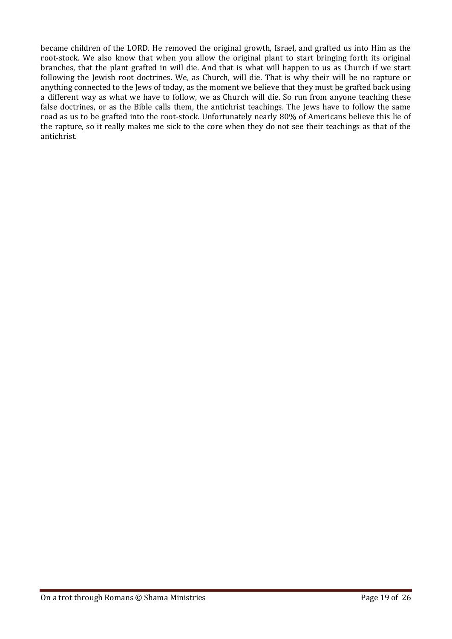became children of the LORD. He removed the original growth, Israel, and grafted us into Him as the root-stock. We also know that when you allow the original plant to start bringing forth its original branches, that the plant grafted in will die. And that is what will happen to us as Church if we start following the Jewish root doctrines. We, as Church, will die. That is why their will be no rapture or anything connected to the Jews of today, as the moment we believe that they must be grafted back using a different way as what we have to follow, we as Church will die. So run from anyone teaching these false doctrines, or as the Bible calls them, the antichrist teachings. The Jews have to follow the same road as us to be grafted into the root-stock. Unfortunately nearly 80% of Americans believe this lie of the rapture, so it really makes me sick to the core when they do not see their teachings as that of the antichrist.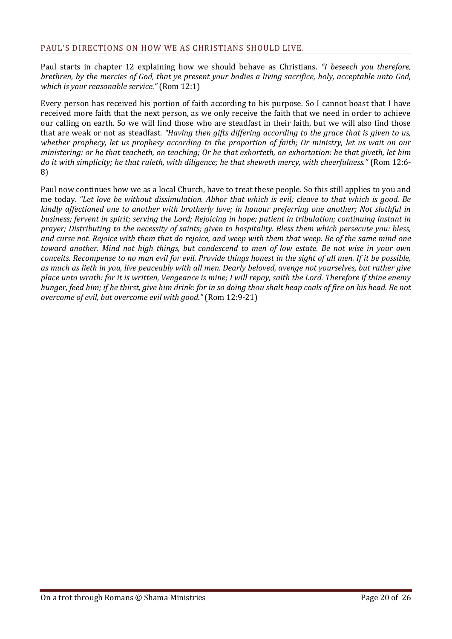<span id="page-19-0"></span>Paul starts in chapter 12 explaining how we should behave as Christians. *"I beseech you therefore, brethren, by the mercies of God, that ye present your bodies a living sacrifice, holy, acceptable unto God, which is your reasonable service."* (Rom 12:1)

Every person has received his portion of faith according to his purpose. So I cannot boast that I have received more faith that the next person, as we only receive the faith that we need in order to achieve our calling on earth. So we will find those who are steadfast in their faith, but we will also find those that are weak or not as steadfast. *"Having then gifts differing according to the grace that is given to us, whether prophecy, let us prophesy according to the proportion of faith; Or ministry, let us wait on our ministering: or he that teacheth, on teaching; Or he that exhorteth, on exhortation: he that giveth, let him do it with simplicity; he that ruleth, with diligence; he that sheweth mercy, with cheerfulness."* (Rom 12:6- 8)

Paul now continues how we as a local Church, have to treat these people. So this still applies to you and me today. *"Let love be without dissimulation. Abhor that which is evil; cleave to that which is good. Be kindly affectioned one to another with brotherly love; in honour preferring one another; Not slothful in business; fervent in spirit; serving the Lord; Rejoicing in hope; patient in tribulation; continuing instant in prayer; Distributing to the necessity of saints; given to hospitality. Bless them which persecute you: bless, and curse not. Rejoice with them that do rejoice, and weep with them that weep. Be of the same mind one toward another. Mind not high things, but condescend to men of low estate. Be not wise in your own conceits. Recompense to no man evil for evil. Provide things honest in the sight of all men. If it be possible, as much as lieth in you, live peaceably with all men. Dearly beloved, avenge not yourselves, but rather give place unto wrath: for it is written, Vengeance is mine; I will repay, saith the Lord. Therefore if thine enemy hunger, feed him; if he thirst, give him drink: for in so doing thou shalt heap coals of fire on his head. Be not overcome of evil, but overcome evil with good."* (Rom 12:9-21)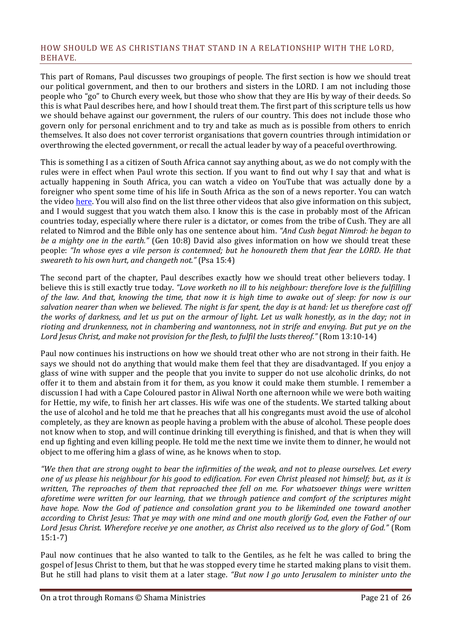#### <span id="page-20-0"></span>HOW SHOULD WE AS CHRISTIANS THAT STAND IN A RELATIONSHIP WITH THE LORD, BEHAVE.

This part of Romans, Paul discusses two groupings of people. The first section is how we should treat our political government, and then to our brothers and sisters in the LORD. I am not including those people who "go" to Church every week, but those who show that they are His by way of their deeds. So this is what Paul describes here, and how I should treat them. The first part of this scripture tells us how we should behave against our government, the rulers of our country. This does not include those who govern only for personal enrichment and to try and take as much as is possible from others to enrich themselves. It also does not cover terrorist organisations that govern countries through intimidation or overthrowing the elected government, or recall the actual leader by way of a peaceful overthrowing.

This is something I as a citizen of South Africa cannot say anything about, as we do not comply with the rules were in effect when Paul wrote this section. If you want to find out why I say that and what is actually happening in South Africa, you can watch a video on YouTube that was actually done by a foreigner who spent some time of his life in South Africa as the son of a news reporter. You can watch the video [here.](https://www.youtube.com/watch?v=-4SS8uyhQnY&list=PLMNj_r5bccUyG-NzFt-U9cwU3ey7KxQ1Z) You will also find on the list three other videos that also give information on this subject, and I would suggest that you watch them also. I know this is the case in probably most of the African countries today, especially where there ruler is a dictator, or comes from the tribe of Cush. They are all related to Nimrod and the Bible only has one sentence about him. *"And Cush begat Nimrod: he began to be a mighty one in the earth."* (Gen 10:8) David also gives information on how we should treat these people: *"In whose eyes a vile person is contemned; but he honoureth them that fear the LORD. He that sweareth to his own hurt, and changeth not."* (Psa 15:4)

The second part of the chapter, Paul describes exactly how we should treat other believers today. I believe this is still exactly true today. *"Love worketh no ill to his neighbour: therefore love is the fulfilling of the law. And that, knowing the time, that now it is high time to awake out of sleep: for now is our salvation nearer than when we believed. The night is far spent, the day is at hand: let us therefore cast off the works of darkness, and let us put on the armour of light. Let us walk honestly, as in the day; not in rioting and drunkenness, not in chambering and wantonness, not in strife and envying. But put ye on the Lord Jesus Christ, and make not provision for the flesh, to fulfil the lusts thereof."* (Rom 13:10-14)

Paul now continues his instructions on how we should treat other who are not strong in their faith. He says we should not do anything that would make them feel that they are disadvantaged. If you enjoy a glass of wine with supper and the people that you invite to supper do not use alcoholic drinks, do not offer it to them and abstain from it for them, as you know it could make them stumble. I remember a discussion I had with a Cape Coloured pastor in Aliwal North one afternoon while we were both waiting for Hettie, my wife, to finish her art classes. His wife was one of the students. We started talking about the use of alcohol and he told me that he preaches that all his congregants must avoid the use of alcohol completely, as they are known as people having a problem with the abuse of alcohol. These people does not know when to stop, and will continue drinking till everything is finished, and that is when they will end up fighting and even killing people. He told me the next time we invite them to dinner, he would not object to me offering him a glass of wine, as he knows when to stop.

*"We then that are strong ought to bear the infirmities of the weak, and not to please ourselves. Let every one of us please his neighbour for his good to edification. For even Christ pleased not himself; but, as it is written, The reproaches of them that reproached thee fell on me. For whatsoever things were written aforetime were written for our learning, that we through patience and comfort of the scriptures might have hope. Now the God of patience and consolation grant you to be likeminded one toward another according to Christ Jesus: That ye may with one mind and one mouth glorify God, even the Father of our Lord Jesus Christ. Wherefore receive ye one another, as Christ also received us to the glory of God."* (Rom 15:1-7)

Paul now continues that he also wanted to talk to the Gentiles, as he felt he was called to bring the gospel of Jesus Christ to them, but that he was stopped every time he started making plans to visit them. But he still had plans to visit them at a later stage. *"But now I go unto Jerusalem to minister unto the*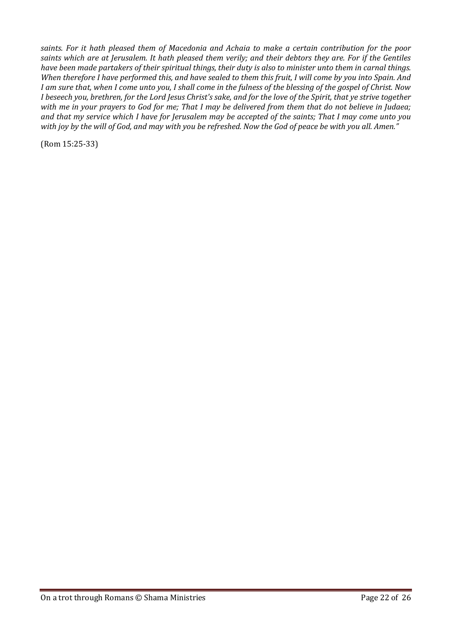*saints. For it hath pleased them of Macedonia and Achaia to make a certain contribution for the poor saints which are at Jerusalem. It hath pleased them verily; and their debtors they are. For if the Gentiles have been made partakers of their spiritual things, their duty is also to minister unto them in carnal things. When therefore I have performed this, and have sealed to them this fruit, I will come by you into Spain. And I am sure that, when I come unto you, I shall come in the fulness of the blessing of the gospel of Christ. Now I beseech you, brethren, for the Lord Jesus Christ's sake, and for the love of the Spirit, that ye strive together with me in your prayers to God for me; That I may be delivered from them that do not believe in Judaea; and that my service which I have for Jerusalem may be accepted of the saints; That I may come unto you with joy by the will of God, and may with you be refreshed. Now the God of peace be with you all. Amen."*

(Rom 15:25-33)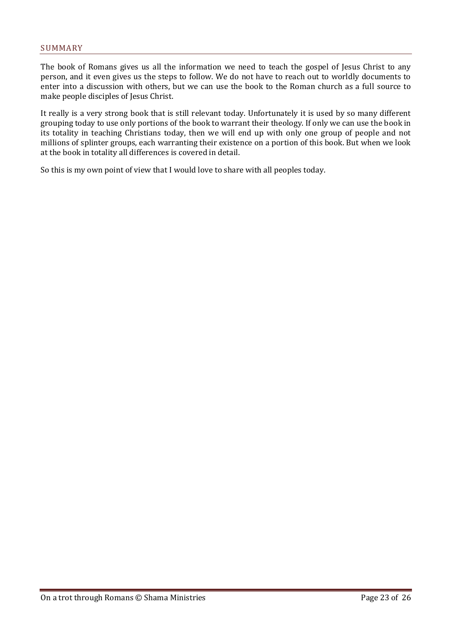<span id="page-22-0"></span>The book of Romans gives us all the information we need to teach the gospel of Jesus Christ to any person, and it even gives us the steps to follow. We do not have to reach out to worldly documents to enter into a discussion with others, but we can use the book to the Roman church as a full source to make people disciples of Jesus Christ.

It really is a very strong book that is still relevant today. Unfortunately it is used by so many different grouping today to use only portions of the book to warrant their theology. If only we can use the book in its totality in teaching Christians today, then we will end up with only one group of people and not millions of splinter groups, each warranting their existence on a portion of this book. But when we look at the book in totality all differences is covered in detail.

So this is my own point of view that I would love to share with all peoples today.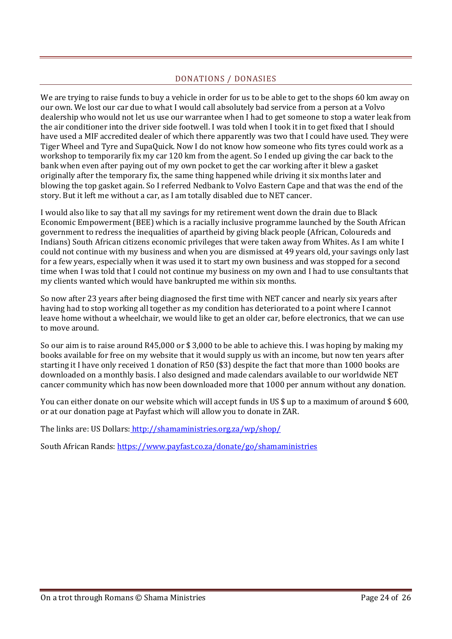## DONATIONS / DONASIES

<span id="page-23-0"></span>We are trying to raise funds to buy a vehicle in order for us to be able to get to the shops 60 km away on our own. We lost our car due to what I would call absolutely bad service from a person at a Volvo dealership who would not let us use our warrantee when I had to get someone to stop a water leak from the air conditioner into the driver side footwell. I was told when I took it in to get fixed that I should have used a MIF accredited dealer of which there apparently was two that I could have used. They were Tiger Wheel and Tyre and SupaQuick. Now I do not know how someone who fits tyres could work as a workshop to temporarily fix my car 120 km from the agent. So I ended up giving the car back to the bank when even after paying out of my own pocket to get the car working after it blew a gasket originally after the temporary fix, the same thing happened while driving it six months later and blowing the top gasket again. So I referred Nedbank to Volvo Eastern Cape and that was the end of the story. But it left me without a car, as I am totally disabled due to NET cancer.

I would also like to say that all my savings for my retirement went down the drain due to Black Economic Empowerment (BEE) which is a racially inclusive programme launched by the South African government to redress the inequalities of apartheid by giving black people (African, Coloureds and Indians) South African citizens economic privileges that were taken away from Whites. As I am white I could not continue with my business and when you are dismissed at 49 years old, your savings only last for a few years, especially when it was used it to start my own business and was stopped for a second time when I was told that I could not continue my business on my own and I had to use consultants that my clients wanted which would have bankrupted me within six months.

So now after 23 years after being diagnosed the first time with NET cancer and nearly six years after having had to stop working all together as my condition has deteriorated to a point where I cannot leave home without a wheelchair, we would like to get an older car, before electronics, that we can use to move around.

So our aim is to raise around R45,000 or \$ 3,000 to be able to achieve this. I was hoping by making my books available for free on my website that it would supply us with an income, but now ten years after starting it I have only received 1 donation of R50 (\$3) despite the fact that more than 1000 books are downloaded on a monthly basis. I also designed and made calendars available to our worldwide NET cancer community which has now been downloaded more that 1000 per annum without any donation.

You can either donate on our website which will accept funds in US \$ up to a maximum of around \$600, or at our donation page at Payfast which will allow you to donate in ZAR.

The links are: US Dollars: <http://shamaministries.org.za/wp/shop/>

South African Rands[: https://www.payfast.co.za/donate/go/shamaministries](https://www.payfast.co.za/donate/go/shamaministries)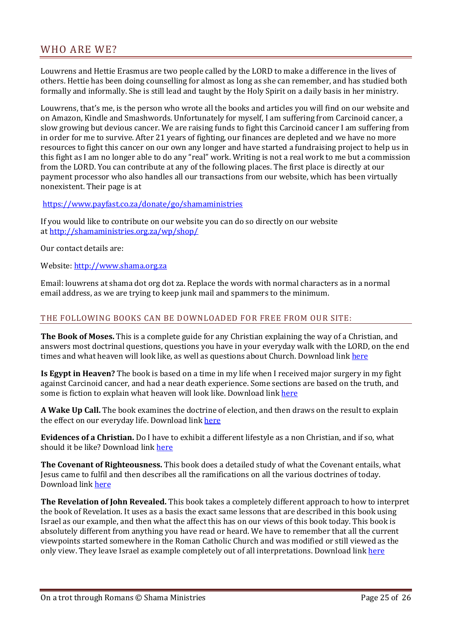# <span id="page-24-0"></span>WHO ARE WE?

Louwrens and Hettie Erasmus are two people called by the LORD to make a difference in the lives of others. Hettie has been doing counselling for almost as long as she can remember, and has studied both formally and informally. She is still lead and taught by the Holy Spirit on a daily basis in her ministry.

Louwrens, that's me, is the person who wrote all the books and articles you will find on our website and on Amazon, Kindle and Smashwords. Unfortunately for myself, I am suffering from Carcinoid cancer, a slow growing but devious cancer. We are raising funds to fight this Carcinoid cancer I am suffering from in order for me to survive. After 21 years of fighting, our finances are depleted and we have no more resources to fight this cancer on our own any longer and have started a fundraising project to help us in this fight as I am no longer able to do any "real" work. Writing is not a real work to me but a commission from the LORD. You can contribute at any of the following places. The first place is directly at our payment processor who also handles all our transactions from our website, which has been virtually nonexistent. Their page is at

<https://www.payfast.co.za/donate/go/shamaministries>

If you would like to contribute on our website you can do so directly on our website at <http://shamaministries.org.za/wp/shop/>

Our contact details are:

Website: [http://www.shama.org.za](http://www.shama.org.za/)

Email: louwrens at shama dot org dot za. Replace the words with normal characters as in a normal email address, as we are trying to keep junk mail and spammers to the minimum.

#### <span id="page-24-1"></span>THE FOLLOWING BOOKS CAN BE DOWNLOADED FOR FREE FROM OUR SITE:

**The Book of Moses.** This is a complete guide for any Christian explaining the way of a Christian, and answers most doctrinal questions, questions you have in your everyday walk with the LORD, on the end times and what heaven will look like, as well as questions about Church. Download link [here](http://www.shamaministries.org.za/boeke/The%20Book%20of%20Moses.pdf)

**Is Egypt in Heaven?** The book is based on a time in my life when I received major surgery in my fight against Carcinoid cancer, and had a near death experience. Some sections are based on the truth, and some is fiction to explain what heaven will look like. Download link [here](http://www.shamaministries.org.za/boeke/Is%20Egypt%20in%20heaven.pdf)

**A Wake Up Call.** The book examines the doctrine of election, and then draws on the result to explain the effect on our everyday life. Download link [here](http://www.shamaministries.org.za/boeke/A%20Wakeup%20Call.pdf)

**Evidences of a Christian.** Do I have to exhibit a different lifestyle as a non Christian, and if so, what should it be like? Download link [here](http://www.shamaministries.org.za/boeke/Evidences%20of%20a%20Christian.pdf)

**The Covenant of Righteousness.** This book does a detailed study of what the Covenant entails, what Jesus came to fulfil and then describes all the ramifications on all the various doctrines of today. Download link [here](http://www.shamaministries.org.za/boeke/The%20Covenant%20of%20Righteousness.pdf)

**The Revelation of John Revealed.** This book takes a completely different approach to how to interpret the book of Revelation. It uses as a basis the exact same lessons that are described in this book using Israel as our example, and then what the affect this has on our views of this book today. This book is absolutely different from anything you have read or heard. We have to remember that all the current viewpoints started somewhere in the Roman Catholic Church and was modified or still viewed as the only view. They leave Israel as example completely out of all interpretations. Download link [here](http://www.shamaministries.org.za/boeke/The%20Revelation%20of%20John%20Revealed.pdf)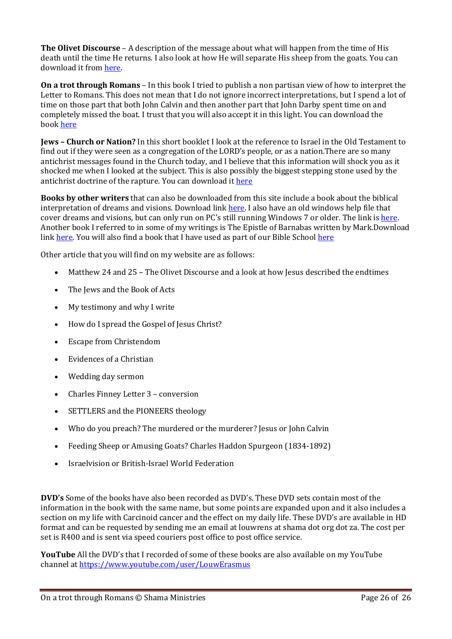**The Olivet Discourse** – A description of the message about what will happen from the time of His death until the time He returns. I also look at how He will separate His sheep from the goats. You can download it from [here.](http://www.shamaministries.org.za/boeke/Matthew%2024%20and%2025.pdf)

**On a trot through Romans** – In this book I tried to publish a non partisan view of how to interpret the Letter to Romans. This does not mean that I do not ignore incorrect interpretations, but I spend a lot of time on those part that both John Calvin and then another part that John Darby spent time on and completely missed the boat. I trust that you will also accept it in this light. You can download the book [here](http://www.shamaministries.org.za/boeke/On%20a%20trot%20through%20Romans.pdf)

**Jews – Church or Nation?** In this short booklet I look at the reference to Israel in the Old Testament to find out if they were seen as a congregation of the LORD's people, or as a nation.There are so many antichrist messages found in the Church today, and I believe that this information will shock you as it shocked me when I looked at the subject. This is also possibly the biggest stepping stone used by the antichrist doctrine of the rapture. You can download it [here](http://www.shamaministries.org.za/boeke/Jews.pdf)

**Books by other writers** that can also be downloaded from this site include a book about the biblical interpretation of dreams and visions. Download link [here.](http://www.shamaministries.org.za/boeke/Dreams%20and%20Visions%20-%20A%20Biblical%20Perspective.pdf) I also have an old windows help file that cover dreams and visions, but can only run on PC's still running Windows 7 or older. The link is [here.](http://www.shamaministries.org.za/boeke/Dreams.hlp) Another book I referred to in some of my writings is The Epistle of Barnabas written by Mark.Download link [here.](http://www.shamaministries.org.za/boeke/THE%20EPISTLE%20OF%20BARNABAS%20-%20Mark.pdf) You will also find a book that I have used as part of our Bible School [here](http://www.shamaministries.org.za/boeke/The%20Shama%20Ministries%20Bible%20Course.pdf)

Other article that you will find on my website are as follows:

- Matthew 24 and 25 The Olivet Discourse and a look at how Jesus described the endtimes
- The Jews and the Book of Acts
- My testimony and why I write
- How do I spread the Gospel of Jesus Christ?
- Escape from Christendom
- Evidences of a Christian
- Wedding day sermon
- Charles Finney Letter 3 conversion
- SETTLERS and the PIONEERS theology
- Who do you preach? The murdered or the murderer? Jesus or John Calvin
- Feeding Sheep or Amusing Goats? Charles Haddon Spurgeon (1834-1892)
- Israelvision or British-Israel World Federation

**DVD's** Some of the books have also been recorded as DVD's. These DVD sets contain most of the information in the book with the same name, but some points are expanded upon and it also includes a section on my life with Carcinoid cancer and the effect on my daily life. These DVD's are available in HD format and can be requested by sending me an email at louwrens at shama dot org dot za. The cost per set is R400 and is sent via speed couriers post office to post office service.

**YouTube** All the DVD's that I recorded of some of these books are also available on my YouTube channel at <https://www.youtube.com/user/LouwErasmus>